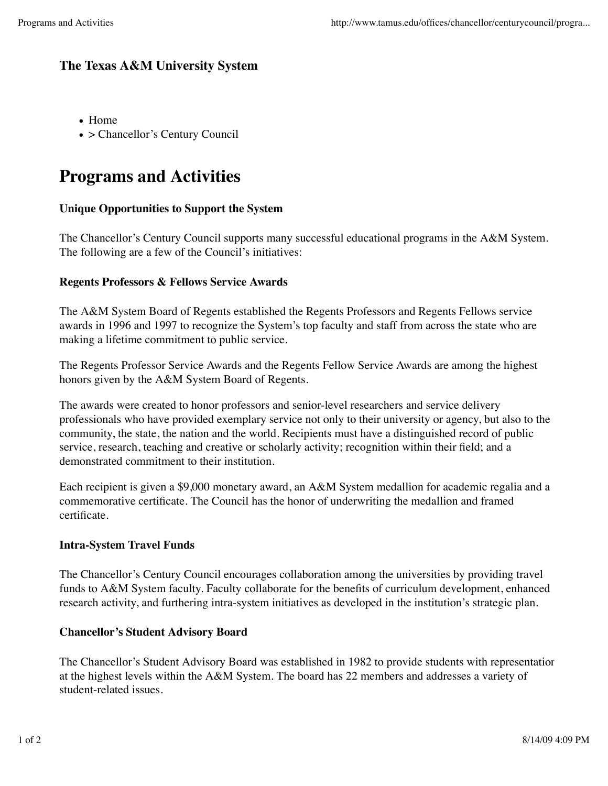# **The Texas A&M University System**

- Home
- > Chancellor's Century Council

# **Programs and Activities**

# **Unique Opportunities to Support the System**

The Chancellor's Century Council supports many successful educational programs in the A&M System. The following are a few of the Council's initiatives:

# **Regents Professors & Fellows Service Awards**

The A&M System Board of Regents established the Regents Professors and Regents Fellows service awards in 1996 and 1997 to recognize the System's top faculty and staff from across the state who are making a lifetime commitment to public service.

The Regents Professor Service Awards and the Regents Fellow Service Awards are among the highest honors given by the A&M System Board of Regents.

The awards were created to honor professors and senior-level researchers and service delivery professionals who have provided exemplary service not only to their university or agency, but also to the community, the state, the nation and the world. Recipients must have a distinguished record of public service, research, teaching and creative or scholarly activity; recognition within their field; and a demonstrated commitment to their institution.

Each recipient is given a \$9,000 monetary award, an A&M System medallion for academic regalia and a commemorative certificate. The Council has the honor of underwriting the medallion and framed certificate.

#### **Intra-System Travel Funds**

The Chancellor's Century Council encourages collaboration among the universities by providing travel funds to A&M System faculty. Faculty collaborate for the benefits of curriculum development, enhanced research activity, and furthering intra-system initiatives as developed in the institution's strategic plan.

#### **Chancellor's Student Advisory Board**

The Chancellor's Student Advisory Board was established in 1982 to provide students with representation at the highest levels within the A&M System. The board has 22 members and addresses a variety of student-related issues.